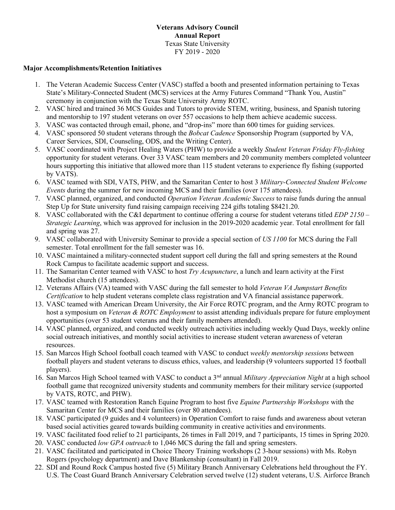### **Veterans Advisory Council Annual Report** Texas State University FY 2019 - 2020

### **Major Accomplishments/Retention Initiatives**

- 1. The Veteran Academic Success Center (VASC) staffed a booth and presented information pertaining to Texas State's Military-Connected Student (MCS) services at the Army Futures Command "Thank You, Austin" ceremony in conjunction with the Texas State University Army ROTC.
- 2. VASC hired and trained 36 MCS Guides and Tutors to provide STEM, writing, business, and Spanish tutoring and mentorship to 197 student veterans on over 557 occasions to help them achieve academic success.
- 3. VASC was contacted through email, phone, and "drop-ins" more than 600 times for guiding services.
- 4. VASC sponsored 50 student veterans through the *Bobcat Cadence* Sponsorship Program (supported by VA, Career Services, SDI, Counseling, ODS, and the Writing Center).
- 5. VASC coordinated with Project Healing Waters (PHW) to provide a weekly *Student Veteran Friday Fly-fishing* opportunity for student veterans. Over 33 VASC team members and 20 community members completed volunteer hours supporting this initiative that allowed more than 115 student veterans to experience fly fishing (supported by VATS).
- 6. VASC teamed with SDI, VATS, PHW, and the Samaritan Center to host 3 *Military-Connected Student Welcome Events* during the summer for new incoming MCS and their families (over 175 attendees).
- 7. VASC planned, organized, and conducted *Operation Veteran Academic Success* to raise funds during the annual Step Up for State university fund raising campaign receiving 224 gifts totaling \$8421.20.
- 8. VASC collaborated with the C&I department to continue offering a course for student veterans titled *EDP 2150 – Strategic Learning*, which was approved for inclusion in the 2019-2020 academic year. Total enrollment for fall and spring was 27.
- 9. VASC collaborated with University Seminar to provide a special section of *US 1100* for MCS during the Fall semester. Total enrollment for the fall semester was 16.
- 10. VASC maintained a military-connected student support cell during the fall and spring semesters at the Round Rock Campus to facilitate academic support and success.
- 11. The Samaritan Center teamed with VASC to host *Try Acupuncture*, a lunch and learn activity at the First Methodist church (15 attendees).
- 12. Veterans Affairs (VA) teamed with VASC during the fall semester to hold *Veteran VA Jumpstart Benefits Certification* to help student veterans complete class registration and VA financial assistance paperwork.
- 13. VASC teamed with American Dream University, the Air Force ROTC program, and the Army ROTC program to host a symposium on *Veteran & ROTC Employment* to assist attending individuals prepare for future employment opportunities (over 53 student veterans and their family members attended).
- 14. VASC planned, organized, and conducted weekly outreach activities including weekly Quad Days, weekly online social outreach initiatives, and monthly social activities to increase student veteran awareness of veteran resources.
- 15. San Marcos High School football coach teamed with VASC to conduct *weekly mentorship sessions* between football players and student veterans to discuss ethics, values, and leadership (9 volunteers supported 15 football players).
- 16. San Marcos High School teamed with VASC to conduct a 3nd annual *Military Appreciation Night* at a high school football game that recognized university students and community members for their military service (supported by VATS, ROTC, and PHW).
- 17. VASC teamed with Restoration Ranch Equine Program to host five *Equine Partnership Workshops* with the Samaritan Center for MCS and their families (over 80 attendees).
- 18. VASC participated (9 guides and 4 volunteers) in Operation Comfort to raise funds and awareness about veteran based social activities geared towards building community in creative activities and environments.
- 19. VASC facilitated food relief to 21 participants, 26 times in Fall 2019, and 7 participants, 15 times in Spring 2020.
- 20. VASC conducted *low GPA outreach* to 1,046 MCS during the fall and spring semesters.
- 21. VASC facilitated and participated in Choice Theory Training workshops (2 3-hour sessions) with Ms. Robyn Rogers (psychology department) and Dave Blankenship (consultant) in Fall 2019.
- 22. SDI and Round Rock Campus hosted five (5) Military Branch Anniversary Celebrations held throughout the FY. U.S. The Coast Guard Branch Anniversary Celebration served twelve (12) student veterans, U.S. Airforce Branch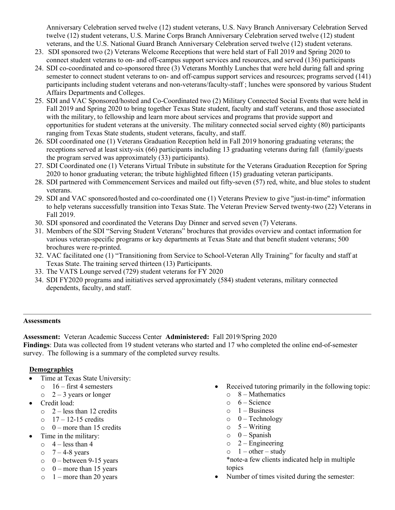Anniversary Celebration served twelve (12) student veterans, U.S. Navy Branch Anniversary Celebration Served twelve (12) student veterans, U.S. Marine Corps Branch Anniversary Celebration served twelve (12) student veterans, and the U.S. National Guard Branch Anniversary Celebration served twelve (12) student veterans.

- 23. SDI sponsored two (2) Veterans Welcome Receptions that were held start of Fall 2019 and Spring 2020 to connect student veterans to on- and off-campus support services and resources, and served (136) participants
- 24. SDI co-coordinated and co-sponsored three (3) Veterans Monthly Lunches that were held during fall and spring semester to connect student veterans to on- and off-campus support services and resources; programs served (141) participants including student veterans and non-veterans/faculty-staff ; lunches were sponsored by various Student Affairs Departments and Colleges.
- 25. SDI and VAC Sponsored/hosted and Co-Coordinated two (2) Military Connected Social Events that were held in Fall 2019 and Spring 2020 to bring together Texas State student, faculty and staff veterans, and those associated with the military, to fellowship and learn more about services and programs that provide support and opportunities for student veterans at the university. The military connected social served eighty (80) participants ranging from Texas State students, student veterans, faculty, and staff.
- 26. SDI coordinated one (1) Veterans Graduation Reception held in Fall 2019 honoring graduating veterans; the receptions served at least sixty-six (66) participants including 13 graduating veterans during fall (family/guests the program served was approximately (33) participants).
- 27. SDI Coordinated one (1) Veterans Virtual Tribute in substitute for the Veterans Graduation Reception for Spring 2020 to honor graduating veteran; the tribute highlighted fifteen (15) graduating veteran participants.
- 28. SDI partnered with Commencement Services and mailed out fifty-seven (57) red, white, and blue stoles to student veterans.
- 29. SDI and VAC sponsored/hosted and co-coordinated one (1) Veterans Preview to give "just-in-time" information to help veterans successfully transition into Texas State. The Veteran Preview Served twenty-two (22) Veterans in Fall 2019.
- 30. SDI sponsored and coordinated the Veterans Day Dinner and served seven (7) Veterans.
- 31. Members of the SDI "Serving Student Veterans" brochures that provides overview and contact information for various veteran-specific programs or key departments at Texas State and that benefit student veterans; 500 brochures were re-printed.
- 32. VAC facilitated one (1) "Transitioning from Service to School-Veteran Ally Training" for faculty and staff at Texas State. The training served thirteen (13) Participants.
- 33. The VATS Lounge served (729) student veterans for FY 2020
- 34. SDI FY2020 programs and initiatives served approximately (584) student veterans, military connected dependents, faculty, and staff.

### **Assessments**

**Assessment:** Veteran Academic Success Center **Administered:** Fall 2019/Spring 2020

**Findings**: Data was collected from 19 student veterans who started and 17 who completed the online end-of-semester survey. The following is a summary of the completed survey results.

### **Demographics**

- Time at Texas State University:
	- $\circ$  16 first 4 semesters
	- $\circ$  2 3 years or longer
- Credit load:
	- $\circ$  2 less than 12 credits
	- $\circ$  17 12-15 credits
	- $\circ$  0 more than 15 credits
- Time in the military:
	- $\circ$  4 less than 4
	- $\circ$  7 4-8 years
	- $o \quad 0$  between 9-15 years
	- $\circ$  0 more than 15 years  $\circ$  1 – more than 20 years
- Received tutoring primarily in the following topic:
	- $\circ$  8 Mathematics
	- $6 Science$
	- $\circ$  1 Business
	- $o \quad 0$  Technology
	- $\circ$  5 Writing
	- $o \quad 0$  Spanish
	- $\circ$  2 Engineering
	- $\circ$  1 other study
	- \*note-a few clients indicated help in multiple topics
- Number of times visited during the semester: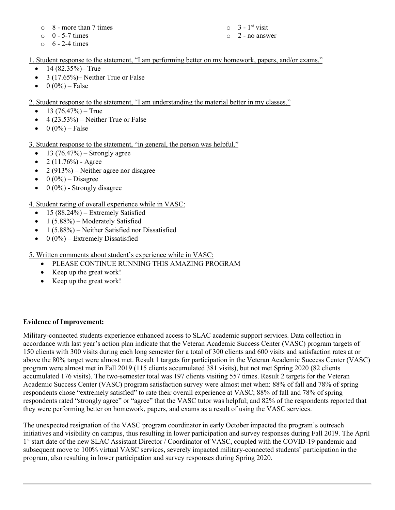- $\circ$  8 more than 7 times
- $\circ$  0 5-7 times
- $6 2 4$  times

 $\circ$  3 - 1<sup>st</sup> visit

## o 2 - no answer

1. Student response to the statement, "I am performing better on my homework, papers, and/or exams."

- 14 (82.35%)– True
- $3(17.65\%)$  Neither True or False
- $0 (0\%) False$

2. Student response to the statement, "I am understanding the material better in my classes."

- 13  $(76.47\%)$  True
- $4(23.53\%)$  Neither True or False
- $0 (0\%) False$

3. Student response to the statement, "in general, the person was helpful."

- 13 (76.47%) Strongly agree
- $2(11.76\%)$  Agree
- 2 (913%) Neither agree nor disagree
- $0 (0\%) \text{Disagree}$
- $\bullet$  0 (0%) Strongly disagree

# 4. Student rating of overall experience while in VASC:

- 15  $(88.24\%)$  Extremely Satisfied
- $1 (5.88\%)$  Moderately Satisfied
- 1 (5.88%) Neither Satisfied nor Dissatisfied
- $0 (0\%)$  Extremely Dissatisfied

5. Written comments about student's experience while in VASC:

- PLEASE CONTINUE RUNNING THIS AMAZING PROGRAM
- Keep up the great work!
- Keep up the great work!

# **Evidence of Improvement:**

Military-connected students experience enhanced access to SLAC academic support services. Data collection in accordance with last year's action plan indicate that the Veteran Academic Success Center (VASC) program targets of 150 clients with 300 visits during each long semester for a total of 300 clients and 600 visits and satisfaction rates at or above the 80% target were almost met. Result 1 targets for participation in the Veteran Academic Success Center (VASC) program were almost met in Fall 2019 (115 clients accumulated 381 visits), but not met Spring 2020 (82 clients accumulated 176 visits). The two-semester total was 197 clients visiting 557 times. Result 2 targets for the Veteran Academic Success Center (VASC) program satisfaction survey were almost met when: 88% of fall and 78% of spring respondents chose "extremely satisfied" to rate their overall experience at VASC; 88% of fall and 78% of spring respondents rated "strongly agree" or "agree" that the VASC tutor was helpful; and 82% of the respondents reported that they were performing better on homework, papers, and exams as a result of using the VASC services.

The unexpected resignation of the VASC program coordinator in early October impacted the program's outreach initiatives and visibility on campus, thus resulting in lower participation and survey responses during Fall 2019. The April 1<sup>st</sup> start date of the new SLAC Assistant Director / Coordinator of VASC, coupled with the COVID-19 pandemic and subsequent move to 100% virtual VASC services, severely impacted military-connected students' participation in the program, also resulting in lower participation and survey responses during Spring 2020.